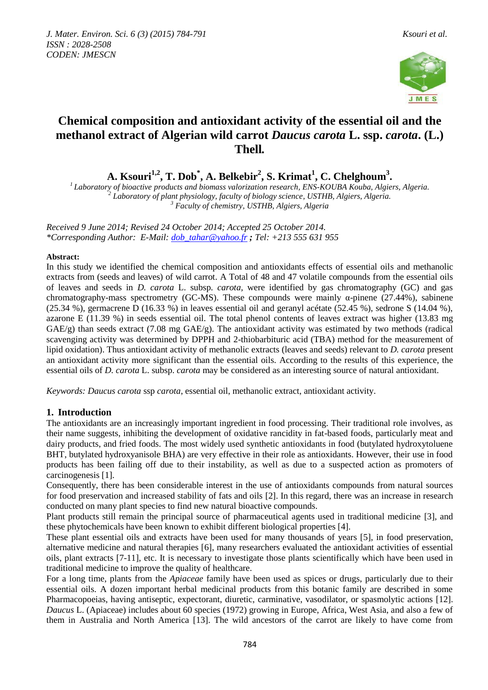

# **Chemical composition and antioxidant activity of the essential oil and the methanol extract of Algerian wild carrot** *Daucus carota* **L. ssp.** *carota***. (L.) Thell***.*

**A. Ksouri1,2, T. Dob\* , A. Belkebir<sup>2</sup> , S. Krimat<sup>1</sup> , C. Chelghoum<sup>3</sup> .**

*<sup>1</sup>Laboratory of bioactive products and biomass valorization research, ENS-KOUBA Kouba, Algiers, Algeria. 2 Laboratory of plant physiology, faculty of biology science, USTHB, Algiers, Algeria. <sup>3</sup> Faculty of chemistry, USTHB, Algiers, Algeria*

*Received 9 June 2014; Revised 24 October 2014; Accepted 25 October 2014. \*Corresponding Author: E-Mail: [dob\\_tahar@yahoo.fr](mailto:dob_tahar@yahoo.fr) ; Tel: +213 555 631 955*

## **Abstract:**

In this study we identified the chemical composition and antioxidants effects of essential oils and methanolic extracts from (seeds and leaves) of wild carrot. A Total of 48 and 47 volatile compounds from the essential oils of leaves and seeds in *D. carota* L. subsp. *carota,* were identified by gas chromatography (GC) and gas chromatography-mass spectrometry (GC-MS). These compounds were mainly  $\alpha$ -pinene (27.44%), sabinene (25.34 %), germacrene D (16.33 %) in leaves essential oil and geranyl acétate (52.45 %), sedrone S (14.04 %), azarone E (11.39 %) in seeds essential oil. The total phenol contents of leaves extract was higher (13.83 mg  $GAE/g$ ) than seeds extract (7.08 mg  $GAE/g$ ). The antioxidant activity was estimated by two methods (radical scavenging activity was determined by DPPH and 2-thiobarbituric acid (TBA) method for the measurement of lipid oxidation). Thus antioxidant activity of methanolic extracts (leaves and seeds) relevant to *D. carota* present an antioxidant activity more significant than the essential oils. According to the results of this experience, the essential oils of *D. carota* L. subsp. *carota* may be considered as an interesting source of natural antioxidant.

*Keywords: Daucus carota* ssp *carota*, essential oil, methanolic extract, antioxidant activity.

# **1. Introduction**

The antioxidants are an increasingly important ingredient in food processing. Their traditional role involves, as their name suggests, inhibiting the development of oxidative rancidity in fat-based foods, particularly meat and dairy products, and fried foods. The most widely used synthetic antioxidants in food (butylated hydroxytoluene BHT, butylated hydroxyanisole BHA) are very effective in their role as antioxidants. However, their use in food products has been failing off due to their instability, as well as due to a suspected action as promoters of carcinogenesis [1].

Consequently, there has been considerable interest in the use of antioxidants compounds from natural sources for food preservation and increased stability of fats and oils [2]. In this regard, there was an increase in research conducted on many plant species to find new natural bioactive compounds.

Plant products still remain the principal source of pharmaceutical agents used in traditional medicine [3], and these phytochemicals have been known to exhibit different biological properties [4].

These plant essential oils and extracts have been used for many thousands of years [5], in food preservation, alternative medicine and natural therapies [6], many researchers evaluated the antioxidant activities of essential oils, plant extracts [7-11], etc. It is necessary to investigate those plants scientifically which have been used in traditional medicine to improve the quality of healthcare.

For a long time, plants from the *Apiaceae* family have been used as spices or drugs, particularly due to their essential oils. A dozen important herbal medicinal products from this botanic family are described in some Pharmacopoeias, having antiseptic, expectorant, diuretic, carminative, vasodilator, or spasmolytic actions [12]. *Daucus* L. (Apiaceae) includes about 60 species (1972) growing in Europe, Africa, West Asia, and also a few of them in Australia and North America [13]. The wild ancestors of the carrot are likely to have come from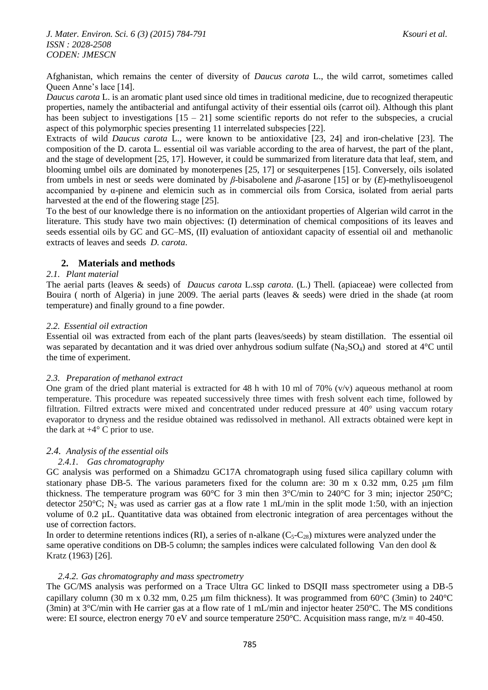Afghanistan, which remains the center of diversity of *Daucus carota* L., the wild carrot, sometimes called Queen Anne's lace [14].

*Daucus carota* L. is an aromatic plant used since old times in traditional medicine, due to recognized therapeutic properties, namely the antibacterial and antifungal activity of their essential oils (carrot oil). Although this plant has been subject to investigations  $[15 - 21]$  some scientific reports do not refer to the subspecies, a crucial aspect of this polymorphic species presenting 11 interrelated subspecies [22].

Extracts of wild *Daucus carota* L., were known to be antioxidative [23, 24] and iron-chelative [23]. The composition of the D. carota L. essential oil was variable according to the area of harvest, the part of the plant, and the stage of development [25, 17]. However, it could be summarized from literature data that leaf, stem, and blooming umbel oils are dominated by monoterpenes [25, 17] or sesquiterpenes [15]. Conversely, oils isolated from umbels in nest or seeds were dominated by *β*-bisabolene and *β*-asarone [15] or by (*E*)-methylisoeugenol accompanied by α-pinene and elemicin such as in commercial oils from Corsica, isolated from aerial parts harvested at the end of the flowering stage [25].

To the best of our knowledge there is no information on the antioxidant properties of Algerian wild carrot in the literature. This study have two main objectives: (I) determination of chemical compositions of its leaves and seeds essential oils by GC and GC–MS, (II) evaluation of antioxidant capacity of essential oil and methanolic extracts of leaves and seeds *D. carota*.

# **2. Materials and methods**

## *2.1. Plant material*

The aerial parts (leaves & seeds) of *Daucus carota* L.ssp *carota*. (L.) Thell*.* (apiaceae) were collected from Bouira ( north of Algeria) in june 2009. The aerial parts (leaves & seeds) were dried in the shade (at room temperature) and finally ground to a fine powder.

## *2.2. Essential oil extraction*

Essential oil was extracted from each of the plant parts (leaves/seeds) by steam distillation. The essential oil was separated by decantation and it was dried over anhydrous sodium sulfate (Na<sub>2</sub>SO<sub>4</sub>) and stored at 4<sup>o</sup>C until the time of experiment.

## *2.3. Preparation of methanol extract*

One gram of the dried plant material is extracted for 48 h with 10 ml of 70%  $(v/v)$  aqueous methanol at room temperature. This procedure was repeated successively three times with fresh solvent each time, followed by filtration. Filtred extracts were mixed and concentrated under reduced pressure at 40° using vaccum rotary evaporator to dryness and the residue obtained was redissolved in methanol. All extracts obtained were kept in the dark at  $+4^{\circ}$  C prior to use.

# *2.4. Analysis of the essential oils*

# *2.4.1. Gas chromatography*

GC analysis was performed on a Shimadzu GC17A chromatograph using fused silica capillary column with stationary phase DB-5. The various parameters fixed for the column are:  $30 \text{ m} \times 0.32 \text{ mm}$ , 0.25  $\mu$ m film thickness. The temperature program was 60°C for 3 min then 3°C/min to 240°C for 3 min; injector 250°C; detector 250°C; N<sub>2</sub> was used as carrier gas at a flow rate 1 mL/min in the split mode 1:50, with an injection volume of 0.2 µL. Quantitative data was obtained from electronic integration of area percentages without the use of correction factors.

In order to determine retentions indices (RI), a series of n-alkane  $(C_5-C_{28})$  mixtures were analyzed under the same operative conditions on DB-5 column; the samples indices were calculated following Van den dool  $\&$ Kratz (1963) [26].

## *2.4.2. Gas chromatography and mass spectrometry*

The GC/MS analysis was performed on a Trace Ultra GC linked to DSQII mass spectrometer using a DB-5 capillary column (30 m x 0.32 mm, 0.25 um film thickness). It was programmed from  $60^{\circ}$ C (3min) to 240°C (3min) at 3°C/min with He carrier gas at a flow rate of 1 mL/min and injector heater 250°C. The MS conditions were: EI source, electron energy 70 eV and source temperature  $250^{\circ}$ C. Acquisition mass range, m/z = 40-450.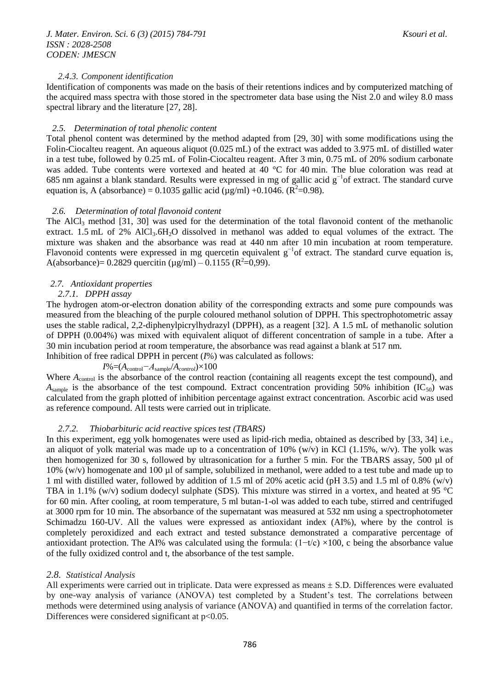### *2.4.3. Component identification*

Identification of components was made on the basis of their retentions indices and by computerized matching of the acquired mass spectra with those stored in the spectrometer data base using the Nist 2.0 and wiley 8.0 mass spectral library and the literature [27, 28].

#### *2.5. Determination of total phenolic content*

Total phenol content was determined by the method adapted from [29, 30] with some modifications using the Folin-Ciocalteu reagent. An aqueous aliquot (0.025 mL) of the extract was added to 3.975 mL of distilled water in a test tube, followed by 0.25 mL of Folin-Ciocalteu reagent. After 3 min, 0.75 mL of 20% sodium carbonate was added. Tube contents were vortexed and heated at 40 °C for 40 min. The blue coloration was read at 685 nm against a blank standard. Results were expressed in mg of gallic acid g−1of extract. The standard curve equation is, A (absorbance) = 0.1035 gallic acid ( $\mu$ g/ml) +0.1046. ( $\mathbb{R}^2$ =0.98).

#### *2.6. Determination of total flavonoid content*

The AlCl<sup>3</sup> method [31, 30] was used for the determination of the total flavonoid content of the methanolic extract. 1.5 mL of 2% AlCl<sub>3</sub>.6H<sub>2</sub>O dissolved in methanol was added to equal volumes of the extract. The mixture was shaken and the absorbance was read at 440 nm after 10 min incubation at room temperature. Flavonoid contents were expressed in mg quercetin equivalent  $g^{-1}$ of extract. The standard curve equation is, A(absorbance) = 0.2829 quercitin ( $\mu$ g/ml) – 0.1155 (R<sup>2</sup>=0,99).

#### *2.7. Antioxidant properties*

#### *2.7.1. DPPH assay*

The hydrogen atom-or-electron donation ability of the corresponding extracts and some pure compounds was measured from the bleaching of the purple coloured methanol solution of DPPH. This spectrophotometric assay uses the stable radical, 2,2-diphenylpicrylhydrazyl (DPPH), as a reagent [32]. A 1.5 mL of methanolic solution of DPPH (0.004%) was mixed with equivalent aliquot of different concentration of sample in a tube. After a 30 min incubation period at room temperature, the absorbance was read against a blank at 517 nm.

# Inhibition of free radical DPPH in percent (*I*%) was calculated as follows:

# *I*%=(*A*control*−A*sample/*Acontrol*)×100

Where  $A_{control}$  is the absorbance of the control reaction (containing all reagents except the test compound), and  $A_{sample}$  is the absorbance of the test compound. Extract concentration providing 50% inhibition (IC<sub>50</sub>) was calculated from the graph plotted of inhibition percentage against extract concentration. Ascorbic acid was used as reference compound. All tests were carried out in triplicate.

#### *2.7.2. Thiobarbituric acid reactive spices test (TBARS)*

In this experiment, egg yolk homogenates were used as lipid-rich media, obtained as described by [33, 34] i.e., an aliquot of yolk material was made up to a concentration of 10% (w/v) in KCl (1.15%, w/v). The yolk was then homogenized for 30 s, followed by ultrasonication for a further 5 min. For the TBARS assay, 500 µl of 10% (w/v) homogenate and 100 µl of sample, solubilized in methanol, were added to a test tube and made up to 1 ml with distilled water, followed by addition of 1.5 ml of 20% acetic acid (pH 3.5) and 1.5 ml of 0.8% (w/v) TBA in 1.1% (w/v) sodium dodecyl sulphate (SDS). This mixture was stirred in a vortex, and heated at 95 °C for 60 min. After cooling, at room temperature, 5 ml butan-1-ol was added to each tube, stirred and centrifuged at 3000 rpm for 10 min. The absorbance of the supernatant was measured at 532 nm using a spectrophotometer Schimadzu 160-UV. All the values were expressed as antioxidant index (AI%), where by the control is completely peroxidized and each extract and tested substance demonstrated a comparative percentage of antioxidant protection. The AI% was calculated using the formula:  $(1-t/c) \times 100$ , c being the absorbance value of the fully oxidized control and t, the absorbance of the test sample.

#### *2.8. Statistical Analysis*

All experiments were carried out in triplicate. Data were expressed as means ± S.D. Differences were evaluated by one-way analysis of variance (ANOVA) test completed by a Student's test. The correlations between methods were determined using analysis of variance (ANOVA) and quantified in terms of the correlation factor. Differences were considered significant at  $p<0.05$ .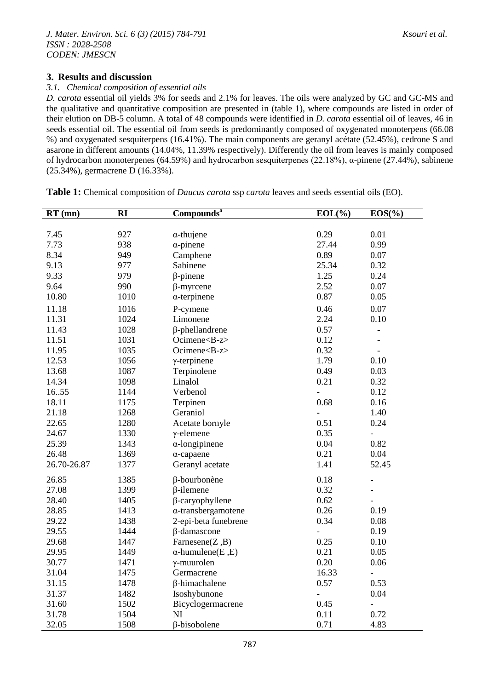# **3. Results and discussion**

## *3.1. Chemical composition of essential oils*

*D. carota* essential oil yields 3% for seeds and 2.1% for leaves. The oils were analyzed by GC and GC-MS and the qualitative and quantitative composition are presented in (table 1), where compounds are listed in order of their elution on DB-5 column. A total of 48 compounds were identified in *D. carota* essential oil of leaves, 46 in seeds essential oil. The essential oil from seeds is predominantly composed of oxygenated monoterpens (66.08 %) and oxygenated sesquiterpens (16.41%). The main components are geranyl acétate (52.45%), cedrone S and asarone in different amounts (14.04%, 11.39% respectively). Differently the oil from leaves is mainly composed of hydrocarbon monoterpenes (64.59%) and hydrocarbon sesquiterpenes (22.18%), α-pinene (27.44%), sabinene (25.34%), germacrene D (16.33%).

**Table 1:** Chemical composition of *Daucus carota* ssp *carota* leaves and seeds essential oils (EO).

| $RT$ (mn)   | Compounds <sup>a</sup><br>$\mathbf{R}$ |                            | $EOL(\%)$      | EOS(%)                   |  |
|-------------|----------------------------------------|----------------------------|----------------|--------------------------|--|
|             |                                        |                            |                |                          |  |
| 7.45        | 927                                    | $\alpha$ -thujene          | 0.29           | 0.01                     |  |
| 7.73        | 938                                    | $\alpha$ -pinene           | 27.44          | 0.99                     |  |
| 8.34        | 949                                    | Camphene                   | 0.89           | 0.07                     |  |
| 9.13        | 977                                    | Sabinene                   | 25.34          | 0.32                     |  |
| 9.33        | 979                                    | $\beta$ -pinene            | 1.25           | 0.24                     |  |
| 9.64        | 990                                    | $\beta$ -myrcene           | 2.52           | 0.07                     |  |
| 10.80       | 1010                                   | $\alpha$ -terpinene        | 0.87           | 0.05                     |  |
| 11.18       | 1016                                   | P-cymene                   | 0.46           | 0.07                     |  |
| 11.31       | 1024                                   | Limonene                   | 2.24           | 0.10                     |  |
| 11.43       | 1028                                   | $\beta$ -phellandrene      | 0.57           | $\frac{1}{2}$            |  |
| 11.51       | 1031                                   | Ocimene <b-z></b-z>        | 0.12           | $\overline{\phantom{a}}$ |  |
| 11.95       | 1035                                   | Ocimene <b-z></b-z>        | 0.32           |                          |  |
| 12.53       | 1056                                   | $\gamma$ -terpinene        | 1.79           | 0.10                     |  |
| 13.68       | 1087                                   | Terpinolene                | 0.49           | 0.03                     |  |
| 14.34       | 1098                                   | Linalol                    | 0.21           | 0.32                     |  |
| 1655        | 1144                                   | Verbenol                   | $\frac{1}{2}$  | 0.12                     |  |
| 18.11       | 1175                                   | Terpinen                   | 0.68           | 0.16                     |  |
| 21.18       | 1268                                   | Geraniol                   | $\frac{1}{2}$  | 1.40                     |  |
| 22.65       | 1280                                   | Acetate bornyle            | 0.51           | 0.24                     |  |
| 24.67       | 1330                                   | $\gamma$ -elemene          | 0.35           | $\overline{\phantom{0}}$ |  |
| 25.39       | 1343                                   | $\alpha$ -longipinene      | 0.04           | 0.82                     |  |
| 26.48       | 1369                                   | $\alpha$ -capaene          | 0.21           | 0.04                     |  |
| 26.70-26.87 | 1377                                   | Geranyl acetate            | 1.41           | 52.45                    |  |
| 26.85       | 1385                                   | β-bourbonène               | 0.18           | $\overline{a}$           |  |
| 27.08       | 1399                                   | $\beta$ -ilemene           | 0.32           |                          |  |
| 28.40       | 1405                                   | $\beta$ -caryophyllene     | 0.62           |                          |  |
| 28.85       | 1413                                   | $\alpha$ -transbergamotene | 0.26           | 0.19                     |  |
| 29.22       | 1438                                   | 2-epi-beta funebrene       | 0.34           | 0.08                     |  |
| 29.55       | 1444                                   | β-damascone                | $\overline{a}$ | 0.19                     |  |
| 29.68       | 1447                                   | Farnesene $(Z, B)$         | 0.25           | 0.10                     |  |
| 29.95       | 1449                                   | $\alpha$ -humulene(E,E)    | 0.21           | 0.05                     |  |
| 30.77       | 1471                                   | $\gamma$ -muurolen         | 0.20           | 0.06                     |  |
| 31.04       | 1475                                   | Germacrene                 | 16.33          |                          |  |
| 31.15       | 1478                                   | β-himachalene              | 0.57           | 0.53                     |  |
| 31.37       | 1482                                   | Isoshybunone               | $\frac{1}{2}$  | 0.04                     |  |
| 31.60       | 1502                                   | Bicyclogermacrene          | 0.45           | $\overline{a}$           |  |
| 31.78       | 1504                                   | NI                         | 0.11           | 0.72                     |  |
| 32.05       | 1508                                   | β-bisobolene               | 0.71           | 4.83                     |  |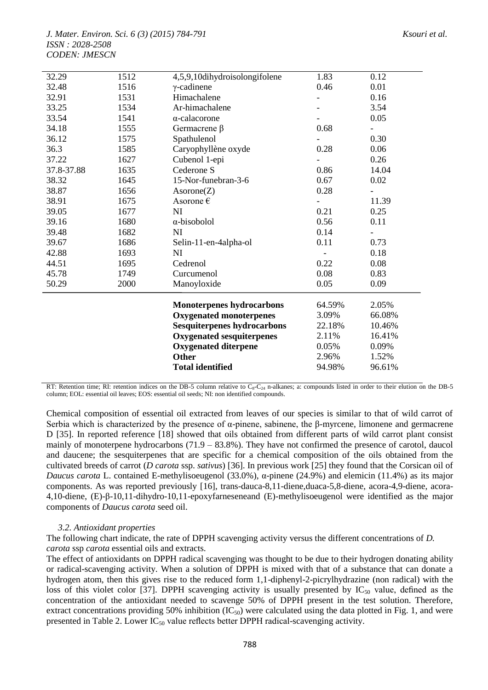|                |              | Other<br><b>Total identified</b>                    | 2.96%<br>94.98% | 1.52%<br>96.61% |
|----------------|--------------|-----------------------------------------------------|-----------------|-----------------|
|                |              | <b>Oxygenated diterpene</b>                         | 0.05%           | 0.09%           |
|                |              | <b>Oxygenated sesquiterpenes</b>                    | 2.11%           | 16.41%          |
|                |              | <b>Sesquiterpenes hydrocarbons</b>                  | 22.18%          | 10.46%          |
|                |              | <b>Oxygenated monoterpenes</b>                      | 3.09%           | 66.08%          |
|                |              | <b>Monoterpenes hydrocarbons</b>                    | 64.59%          | 2.05%           |
| 50.29          | 2000         | Manoyloxide                                         | 0.05            | 0.09            |
| 45.78          | 1749         | Curcumenol                                          | 0.08            | 0.83            |
| 44.51          | 1695         | Cedrenol                                            | 0.22            | 0.08            |
| 42.88          | 1693         | NI                                                  |                 | 0.18            |
| 39.67          | 1686         | Selin-11-en-4alpha-ol                               | 0.11            | 0.73            |
| 39.48          | 1682         | NI                                                  | 0.14            |                 |
| 39.16          | 1680         | α-bisobolol                                         | 0.56            | 0.11            |
| 39.05          | 1677         | NI                                                  | 0.21            | 0.25            |
| 38.91          | 1675         | Asorone $\epsilon$                                  |                 | 11.39           |
| 38.87          | 1656         | Asorone(Z)                                          | 0.28            |                 |
| 38.32          | 1645         | 15-Nor-funebran-3-6                                 | 0.67            | 0.02            |
| 37.8-37.88     | 1635         | Cederone S                                          | 0.86            | 14.04           |
| 37.22          | 1627         | Cubenol 1-epi                                       |                 | 0.26            |
| 36.3           | 1585         | Caryophyllène oxyde                                 | 0.28            | 0.06            |
| 36.12          | 1575         | Spathulenol                                         |                 | 0.30            |
| 34.18          | 1555         | Germacrene $\beta$                                  | 0.68            |                 |
| 33.54          | 1541         | $\alpha$ -calacorone                                |                 | 0.05            |
| 33.25          | 1534         | Ar-himachalene                                      |                 | 3.54            |
| 32.91          | 1531         | Himachalene                                         |                 | 0.16            |
| 32.29<br>32.48 | 1512<br>1516 | 4,5,9,10dihydroisolongifolene<br>$\gamma$ -cadinene | 1.83<br>0.46    | 0.12<br>0.01    |

RT: Retention time; RI: retention indices on the DB-5 column relative to  $C_8-C_{24}$  n-alkanes; a: compounds listed in order to their elution on the DB-5 column; EOL: essential oil leaves; EOS: essential oil seeds; NI: non identified compounds.

Chemical composition of essential oil extracted from leaves of our species is similar to that of wild carrot of Serbia which is characterized by the presence of α-pinene, sabinene, the β-myrcene, limonene and germacrene D [35]. In reported reference [18] showed that oils obtained from different parts of wild carrot plant consist mainly of monoterpene hydrocarbons (71.9 – 83.8%). They have not confirmed the presence of carotol, daucol and daucene; the sesquiterpenes that are specific for a chemical composition of the oils obtained from the cultivated breeds of carrot (*D carota* ssp. *sativus*) [36]. In previous work [25] they found that the Corsican oil of *Daucus carota* L. contained E-methylisoeugenol (33.0%), α-pinene (24.9%) and elemicin (11.4%) as its major components. As was reported previously [16], trans-dauca-8,11-diene,duaca-5,8-diene, acora-4,9-diene, acora-4,10-diene, (E)-β-10,11-dihydro-10,11-epoxyfarneseneand (E)-methylisoeugenol were identified as the major components of *Daucus carota* seed oil.

# *3.2. Antioxidant properties*

The following chart indicate, the rate of DPPH scavenging activity versus the different concentrations of *D. carota* ssp *carota* essential oils and extracts.

The effect of antioxidants on DPPH radical scavenging was thought to be due to their hydrogen donating ability or radical-scavenging activity. When a solution of DPPH is mixed with that of a substance that can donate a hydrogen atom, then this gives rise to the reduced form 1,1-diphenyl-2-picrylhydrazine (non radical) with the loss of this violet color [37]. DPPH scavenging activity is usually presented by  $IC_{50}$  value, defined as the concentration of the antioxidant needed to scavenge 50% of DPPH present in the test solution. Therefore, extract concentrations providing 50% inhibition  $(IC_{50})$  were calculated using the data plotted in Fig. 1, and were presented in Table 2. Lower  $IC_{50}$  value reflects better DPPH radical-scavenging activity.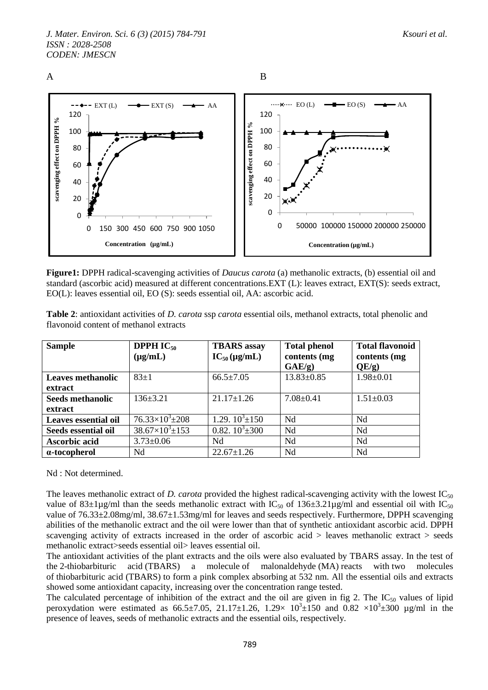



**Figure1:** DPPH radical-scavenging activities of *Daucus carota* (a) methanolic extracts, (b) essential oil and standard (ascorbic acid) measured at different concentrations.EXT (L): leaves extract, EXT(S): seeds extract, EO(L): leaves essential oil, EO (S): seeds essential oil, AA: ascorbic acid.

| <b>Sample</b>                          | <b>DPPH IC<sub>50</sub></b> | <b>TBARS</b> assay | <b>Total phenol</b> | <b>Total flavonoid</b> |  |
|----------------------------------------|-----------------------------|--------------------|---------------------|------------------------|--|
| flavonoid content of methanol extracts |                             |                    |                     |                        |  |

**Table 2**: antioxidant activities of *D. carota* ssp *carota* essential oils, methanol extracts, total phenolic and

| <b>Sample</b>            | <b>DPPH <math>IC_{50}</math></b> | <b>TBARS</b> assay   | <b>Total phenol</b> | <b>Total flavonoid</b> |
|--------------------------|----------------------------------|----------------------|---------------------|------------------------|
|                          | $(\mu g/mL)$                     | $IC_{50}(\mu g/mL)$  | contents (mg        | contents (mg           |
|                          |                                  |                      | GAE/g               | QE/g)                  |
| <b>Leaves methanolic</b> | $83 \pm 1$                       | $66.5 \pm 7.05$      | $13.83 \pm 0.85$    | $1.98 \pm 0.01$        |
| extract                  |                                  |                      |                     |                        |
| <b>Seeds methanolic</b>  | $136 \pm 3.21$                   | $21.17 \pm 1.26$     | $7.08 \pm 0.41$     | $1.51 \pm 0.03$        |
| extract                  |                                  |                      |                     |                        |
| Leaves essential oil     | $76.33\times10^{3}$ ± 208        | 1.29. $10^3 \pm 150$ | Nd                  | Nd                     |
| Seeds essential oil      | $38.67\times10^{3}$ ± 153        | 0.82. $10^3 \pm 300$ | Nd                  | Nd                     |
| <b>Ascorbic acid</b>     | $3.73 \pm 0.06$                  | Nd                   | Nd                  | Nd                     |
| $\alpha$ -tocopherol     | Nd                               | $22.67 \pm 1.26$     | Nd                  | Nd                     |

Nd : Not determined.

The leaves methanolic extract of *D. carota* provided the highest radical-scavenging activity with the lowest  $IC_{50}$ value of 83±1µg/ml than the seeds methanolic extract with  $IC_{50}$  of 136±3.21µg/ml and essential oil with  $IC_{50}$ value of 76.33±2.08mg/ml, 38.67±1.53mg/ml for leaves and seeds respectively. Furthermore, DPPH scavenging abilities of the methanolic extract and the oil were lower than that of synthetic antioxidant ascorbic acid. DPPH scavenging activity of extracts increased in the order of ascorbic acid  $>$  leaves methanolic extract  $>$  seeds methanolic extract>seeds essential oil> leaves essential oil.

The antioxidant activities of the plant extracts and the oils were also evaluated by TBARS assay. In the test of the 2-thiobarbituric acid (TBARS) a molecule of malonaldehyde (MA) reacts with two molecules of thiobarbituric acid (TBARS) to form a pink complex absorbing at 532 nm. All the essential oils and extracts showed some antioxidant capacity, increasing over the concentration range tested.

The calculated percentage of inhibition of the extract and the oil are given in fig 2. The  $IC_{50}$  values of lipid peroxydation were estimated as  $66.5 \pm 7.05$ ,  $21.17 \pm 1.26$ ,  $1.29 \times 10^3 \pm 150$  and  $0.82 \times 10^3 \pm 300$  µg/ml in the presence of leaves, seeds of methanolic extracts and the essential oils, respectively.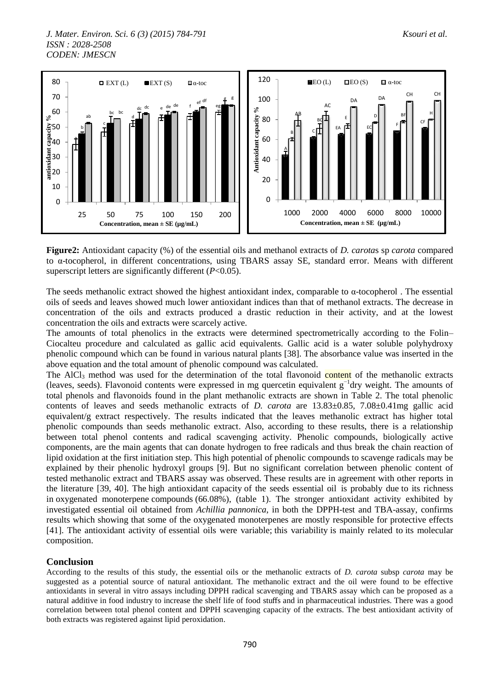

**Figure2:** Antioxidant capacity (%) of the essential oils and methanol extracts of *D. carota*s sp *carota* compared to α-tocopherol, in different concentrations, using TBARS assay SE, standard error. Means with different superscript letters are significantly different (*P*<0.05).

The seeds methanolic extract showed the highest antioxidant index, comparable to  $\alpha$ -tocopherol. The essential oils of seeds and leaves showed much lower antioxidant indices than that of methanol extracts. The decrease in concentration of the oils and extracts produced a drastic reduction in their activity, and at the lowest concentration the oils and extracts were scarcely active.

The amounts of total phenolics in the extracts were determined spectrometrically according to the Folin– Ciocalteu procedure and calculated as gallic acid equivalents. Gallic acid is a water soluble polyhydroxy phenolic compound which can be found in various natural plants [38]. The absorbance value was inserted in the above equation and the total amount of phenolic compound was calculated.

The  $AICI<sub>3</sub>$  method was used for the determination of the total flavonoid content of the methanolic extracts (leaves, seeds). Flavonoid contents were expressed in mg quercetin equivalent g−1 dry weight. The amounts of total phenols and flavonoids found in the plant methanolic extracts are shown in Table 2. The total phenolic contents of leaves and seeds methanolic extracts of *D. carota* are 13.83±0.85, 7.08±0.41mg gallic acid equivalent/g extract respectively. The results indicated that the leaves methanolic extract has higher total phenolic compounds than seeds methanolic extract. Also, according to these results, there is a relationship between total phenol contents and radical scavenging activity. Phenolic compounds, biologically active components, are the main agents that can donate hydrogen to free radicals and thus break the chain reaction of lipid oxidation at the first initiation step. This high potential of phenolic compounds to scavenge radicals may be explained by their phenolic hydroxyl groups [9]. But no significant correlation between phenolic content of tested methanolic extract and TBARS assay was observed. These results are in agreement with other reports in the literature [39, 40]. The high antioxidant capacity of the seeds essential oil is probably due to its richness in oxygenated monoterpene compounds (66.08%), (table 1). The stronger antioxidant activity exhibited by investigated essential oil obtained from *Achillia pannonica*, in both the DPPH-test and TBA-assay, confirms results which showing that some of the oxygenated monoterpenes are mostly responsible for protective effects [41]. The antioxidant activity of essential oils were variable; this variability is mainly related to its molecular composition.

## **Conclusion**

According to the results of this study, the essential oils or the methanolic extracts of *D. carota* subsp *carota* may be suggested as a potential source of natural antioxidant. The methanolic extract and the oil were found to be effective antioxidants in several in vitro assays including DPPH radical scavenging and TBARS assay which can be proposed as a natural additive in food industry to increase the shelf life of food stuffs and in pharmaceutical industries. There was a good correlation between total phenol content and DPPH scavenging capacity of the extracts. The best antioxidant activity of both extracts was registered against lipid peroxidation.